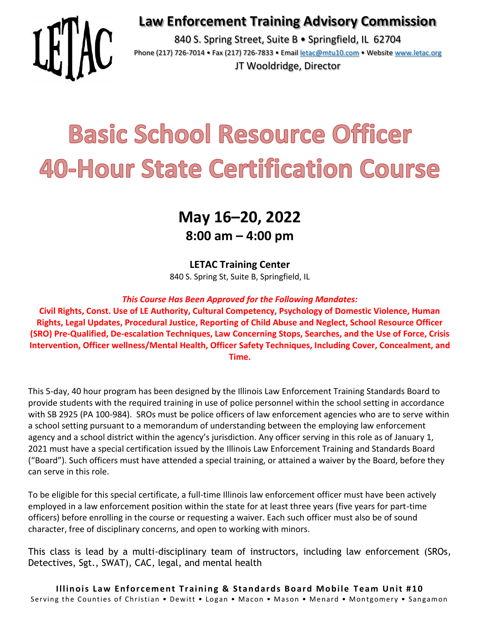### **Law Enforcement Training Advisory Commission**



840 S. Spring Street, Suite B · Springfield, IL 62704 Phone (217) 726-7014 • Fax (217) 726-7833 • Email [letac@mtu10.com](mailto:letac@mtu10.com) • Website [www.letac.org](http://www.letac.org/) JT Wooldridge, Director

# **Basic School Resource Officer 40-Hour State Certification Course**

## **May 16–20, 2022 8:00 am – 4:00 pm**

#### **LETAC Training Center**

840 S. Spring St, Suite B, Springfield, IL

#### *This Course Has Been Approved for the Following Mandates:*

**Civil Rights, Const. Use of LE Authority, Cultural Competency, Psychology of Domestic Violence, Human Rights, Legal Updates, Procedural Justice, Reporting of Child Abuse and Neglect, School Resource Officer (SRO) Pre-Qualified, De-escalation Techniques, Law Concerning Stops, Searches, and the Use of Force, Crisis Intervention, Officer wellness/Mental Health, Officer Safety Techniques, Including Cover, Concealment, and Time.**

This 5-day, 40 hour program has been designed by the Illinois Law Enforcement Training Standards Board to provide students with the required training in use of police personnel within the school setting in accordance with SB 2925 (PA 100-984). SROs must be police officers of law enforcement agencies who are to serve within a school setting pursuant to a memorandum of understanding between the employing law enforcement agency and a school district within the agency's jurisdiction. Any officer serving in this role as of January 1, 2021 must have a special certification issued by the Illinois Law Enforcement Training and Standards Board ("Board"). Such officers must have attended a special training, or attained a waiver by the Board, before they can serve in this role.

To be eligible for this special certificate, a full-time Illinois law enforcement officer must have been actively employed in a law enforcement position within the state for at least three years (five years for part-time officers) before enrolling in the course or requesting a waiver. Each such officer must also be of sound character, free of disciplinary concerns, and open to working with minors.

This class is lead by a multi-disciplinary team of instructors, including law enforcement (SROs, Detectives, Sgt., SWAT), CAC, legal, and mental health

**Illinois Law Enforcement Training & Standards Board Mobile Team Unit #10** Serving the Counties of Christian • Dewitt • Logan • Macon • Mason • Menard • Montgomery • Sangamon